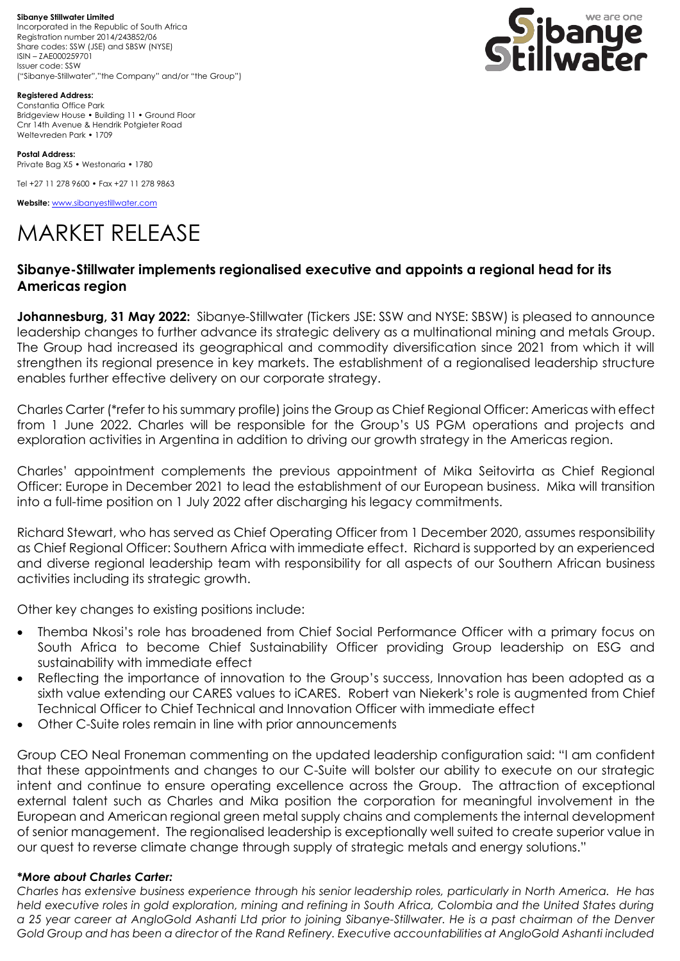**Sibanye Stillwater Limited**  Incorporated in the Republic of South Africa Registration number 2014/243852/06 Share codes: SSW (JSE) and SBSW (NYSE) ISIN – ZAE000259701 Issuer code: SSW ("Sibanye-Stillwater","the Company" and/or "the Group")



**Registered Address:** Constantia Office Park Bridgeview House • Building 11 • Ground Floor Cnr 14th Avenue & Hendrik Potgieter Road Weltevreden Park • 1709

**Postal Address:** Private Bag X5 • Westonaria • 1780

Tel +27 11 278 9600 • Fax +27 11 278 9863

**Website:** [www.sibanyestillwater.com](http://www.sibanyestillwater.com/)

# MARKET RELEASE

# **Sibanye-Stillwater implements regionalised executive and appoints a regional head for its Americas region**

**Johannesburg, 31 May 2022:** Sibanye-Stillwater (Tickers JSE: SSW and NYSE: SBSW) is pleased to announce leadership changes to further advance its strategic delivery as a multinational mining and metals Group. The Group had increased its geographical and commodity diversification since 2021 from which it will strengthen its regional presence in key markets. The establishment of a regionalised leadership structure enables further effective delivery on our corporate strategy.

Charles Carter (\*refer to his summary profile) joins the Group as Chief Regional Officer: Americas with effect from 1 June 2022. Charles will be responsible for the Group's US PGM operations and projects and exploration activities in Argentina in addition to driving our growth strategy in the Americas region.

Charles' appointment complements the previous appointment of Mika Seitovirta as Chief Regional Officer: Europe in December 2021 to lead the establishment of our European business. Mika will transition into a full-time position on 1 July 2022 after discharging his legacy commitments.

Richard Stewart, who has served as Chief Operating Officer from 1 December 2020, assumes responsibility as Chief Regional Officer: Southern Africa with immediate effect. Richard is supported by an experienced and diverse regional leadership team with responsibility for all aspects of our Southern African business activities including its strategic growth.

Other key changes to existing positions include:

- Themba Nkosi's role has broadened from Chief Social Performance Officer with a primary focus on South Africa to become Chief Sustainability Officer providing Group leadership on ESG and sustainability with immediate effect
- Reflecting the importance of innovation to the Group's success, Innovation has been adopted as a sixth value extending our CARES values to iCARES. Robert van Niekerk's role is augmented from Chief Technical Officer to Chief Technical and Innovation Officer with immediate effect
- Other C-Suite roles remain in line with prior announcements

Group CEO Neal Froneman commenting on the updated leadership configuration said: "I am confident that these appointments and changes to our C-Suite will bolster our ability to execute on our strategic intent and continue to ensure operating excellence across the Group. The attraction of exceptional external talent such as Charles and Mika position the corporation for meaningful involvement in the European and American regional green metal supply chains and complements the internal development of senior management. The regionalised leadership is exceptionally well suited to create superior value in our quest to reverse climate change through supply of strategic metals and energy solutions."

## *\*More about Charles Carter:*

*Charles has extensive business experience through his senior leadership roles, particularly in North America. He has*  held executive roles in gold exploration, mining and refining in South Africa, Colombia and the United States during *a 25 year career at AngloGold Ashanti Ltd prior to joining Sibanye-Stillwater. He is a past chairman of the Denver Gold Group and has been a director of the Rand Refinery. Executive accountabilities at AngloGold Ashanti included*